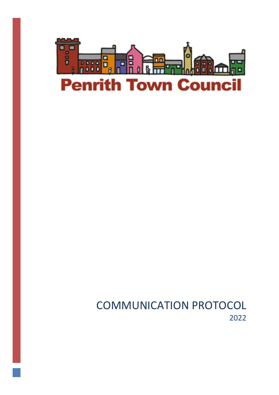

COMMUNICATION PROTOCOL 2022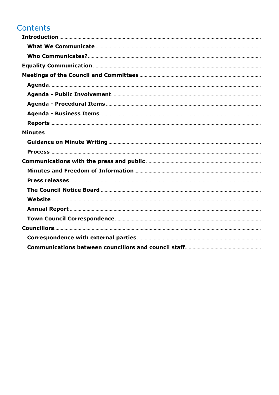# Contents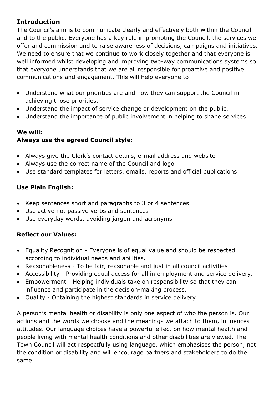### <span id="page-2-0"></span>**Introduction**

The Council's aim is to communicate clearly and effectively both within the Council and to the public. Everyone has a key role in promoting the Council, the services we offer and commission and to raise awareness of decisions, campaigns and initiatives. We need to ensure that we continue to work closely together and that everyone is well informed whilst developing and improving two-way communications systems so that everyone understands that we are all responsible for proactive and positive communications and engagement. This will help everyone to:

- Understand what our priorities are and how they can support the Council in achieving those priorities.
- Understand the impact of service change or development on the public.
- Understand the importance of public involvement in helping to shape services.

### **We will:**

### **Always use the agreed Council style:**

- Always give the Clerk's contact details, e-mail address and website
- Always use the correct name of the Council and logo
- Use standard templates for letters, emails, reports and official publications

### **Use Plain English:**

- Keep sentences short and paragraphs to 3 or 4 sentences
- Use active not passive verbs and sentences
- Use everyday words, avoiding jargon and acronyms

### **Reflect our Values:**

- Equality Recognition Everyone is of equal value and should be respected according to individual needs and abilities.
- Reasonableness To be fair, reasonable and just in all council activities
- Accessibility Providing equal access for all in employment and service delivery.
- Empowerment Helping individuals take on responsibility so that they can influence and participate in the decision-making process.
- Quality Obtaining the highest standards in service delivery

<span id="page-2-1"></span>A person's mental health or disability is only one aspect of who the person is. Our actions and the words we choose and the meanings we attach to them, influences attitudes. Our language choices have a powerful effect on how mental health and people living with mental health conditions and other disabilities are viewed. The Town Council will act respectfully using language, which emphasises the person, not the condition or disability and will encourage partners and stakeholders to do the same.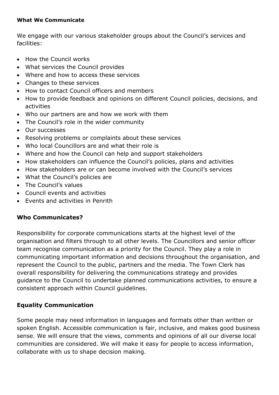#### **What We Communicate**

We engage with our various stakeholder groups about the Council's services and facilities:

- How the Council works
- What services the Council provides
- Where and how to access these services
- Changes to these services
- How to contact Council officers and members
- How to provide feedback and opinions on different Council policies, decisions, and activities
- Who our partners are and how we work with them
- The Council's role in the wider community
- Our successes
- Resolving problems or complaints about these services
- Who local Councillors are and what their role is
- Where and how the Council can help and support stakeholders
- How stakeholders can influence the Council's policies, plans and activities
- How stakeholders are or can become involved with the Council's services
- What the Council's policies are
- The Council's values
- Council events and activities
- Events and activities in Penrith

### <span id="page-3-0"></span>**Who Communicates?**

Responsibility for corporate communications starts at the highest level of the organisation and filters through to all other levels. The Councillors and senior officer team recognise communication as a priority for the Council. They play a role in communicating important information and decisions throughout the organisation, and represent the Council to the public, partners and the media. The Town Clerk has overall responsibility for delivering the communications strategy and provides guidance to the Council to undertake planned communications activities, to ensure a consistent approach within Council guidelines.

### <span id="page-3-1"></span>**Equality Communication**

Some people may need information in languages and formats other than written or spoken English. Accessible communication is fair, inclusive, and makes good business sense. We will ensure that the views, comments and opinions of all our diverse local communities are considered. We will make it easy for people to access information, collaborate with us to shape decision making.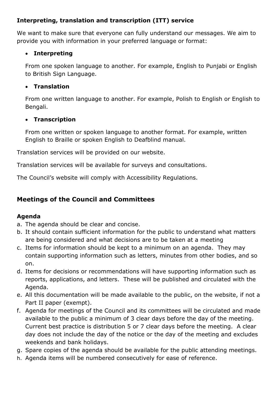### **Interpreting, translation and transcription (ITT) service**

We want to make sure that everyone can fully understand our messages. We aim to provide you with information in your preferred language or format:

### • **Interpreting**

From one spoken language to another. For example, English to Punjabi or English to British Sign Language.

### • **Translation**

From one written language to another. For example, Polish to English or English to Bengali.

### • **Transcription**

From one written or spoken language to another format. For example, written English to Braille or spoken English to Deafblind manual.

Translation services will be provided on our website.

Translation services will be available for surveys and consultations.

The Council's website will comply with Accessibility Regulations.

## <span id="page-4-0"></span>**Meetings of the Council and Committees**

### <span id="page-4-1"></span>**Agenda**

- a. The agenda should be clear and concise.
- b. It should contain sufficient information for the public to understand what matters are being considered and what decisions are to be taken at a meeting
- c. Items for information should be kept to a minimum on an agenda. They may contain supporting information such as letters, minutes from other bodies, and so on.
- d. Items for decisions or recommendations will have supporting information such as reports, applications, and letters. These will be published and circulated with the Agenda.
- e. All this documentation will be made available to the public, on the website, if not a Part II paper (exempt).
- f. Agenda for meetings of the Council and its committees will be circulated and made available to the public a minimum of 3 clear days before the day of the meeting. Current best practice is distribution 5 or 7 clear days before the meeting. A clear day does not include the day of the notice or the day of the meeting and excludes weekends and bank holidays.
- g. Spare copies of the agenda should be available for the public attending meetings.
- h. Agenda items will be numbered consecutively for ease of reference.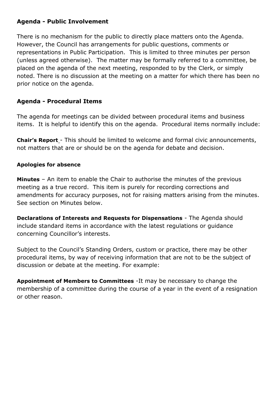#### <span id="page-5-0"></span>**Agenda - Public Involvement**

There is no mechanism for the public to directly place matters onto the Agenda. However, the Council has arrangements for public questions, comments or representations in Public Participation. This is limited to three minutes per person (unless agreed otherwise). The matter may be formally referred to a committee, be placed on the agenda of the next meeting, responded to by the Clerk, or simply noted. There is no discussion at the meeting on a matter for which there has been no prior notice on the agenda.

#### <span id="page-5-1"></span>**Agenda - Procedural Items**

The agenda for meetings can be divided between procedural items and business items. It is helpful to identify this on the agenda. Procedural items normally include:

**Chair's Report** - This should be limited to welcome and formal civic announcements, not matters that are or should be on the agenda for debate and decision.

#### **Apologies for absence**

**Minutes** – An item to enable the Chair to authorise the minutes of the previous meeting as a true record. This item is purely for recording corrections and amendments for accuracy purposes, not for raising matters arising from the minutes. See section on Minutes below.

**Declarations of Interests and Requests for Dispensations** - The Agenda should include standard items in accordance with the latest regulations or guidance concerning Councillor's interests.

Subject to the Council's Standing Orders, custom or practice, there may be other procedural items, by way of receiving information that are not to be the subject of discussion or debate at the meeting. For example:

**Appointment of Members to Committees** -It may be necessary to change the membership of a committee during the course of a year in the event of a resignation or other reason.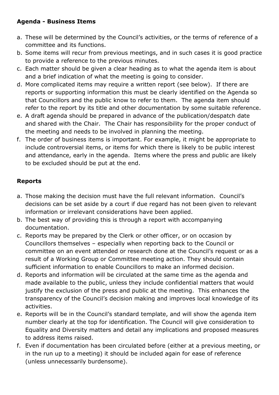### <span id="page-6-0"></span>**Agenda - Business Items**

- a. These will be determined by the Council's activities, or the terms of reference of a committee and its functions.
- b. Some items will recur from previous meetings, and in such cases it is good practice to provide a reference to the previous minutes.
- c. Each matter should be given a clear heading as to what the agenda item is about and a brief indication of what the meeting is going to consider.
- d. More complicated items may require a written report (see below). If there are reports or supporting information this must be clearly identified on the Agenda so that Councillors and the public know to refer to them. The agenda item should refer to the report by its title and other documentation by some suitable reference.
- e. A draft agenda should be prepared in advance of the publication/despatch date and shared with the Chair. The Chair has responsibility for the proper conduct of the meeting and needs to be involved in planning the meeting.
- f. The order of business items is important. For example, it might be appropriate to include controversial items, or items for which there is likely to be public interest and attendance, early in the agenda. Items where the press and public are likely to be excluded should be put at the end.

### <span id="page-6-1"></span>**Reports**

- a. Those making the decision must have the full relevant information. Council's decisions can be set aside by a court if due regard has not been given to relevant information or irrelevant considerations have been applied.
- b. The best way of providing this is through a report with accompanying documentation.
- c. Reports may be prepared by the Clerk or other officer, or on occasion by Councillors themselves – especially when reporting back to the Council or committee on an event attended or research done at the Council's request or as a result of a Working Group or Committee meeting action. They should contain sufficient information to enable Councillors to make an informed decision.
- d. Reports and information will be circulated at the same time as the agenda and made available to the public, unless they include confidential matters that would justify the exclusion of the press and public at the meeting. This enhances the transparency of the Council's decision making and improves local knowledge of its activities.
- e. Reports will be in the Council's standard template, and will show the agenda item number clearly at the top for identification. The Council will give consideration to Equality and Diversity matters and detail any implications and proposed measures to address items raised.
- f. Even if documentation has been circulated before (either at a previous meeting, or in the run up to a meeting) it should be included again for ease of reference (unless unnecessarily burdensome).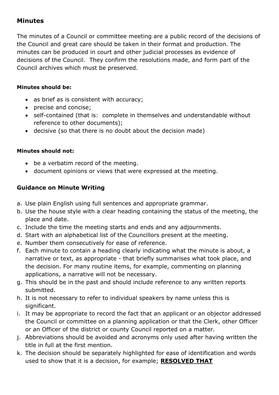### <span id="page-7-0"></span>**Minutes**

The minutes of a Council or committee meeting are a public record of the decisions of the Council and great care should be taken in their format and production. The minutes can be produced in court and other judicial processes as evidence of decisions of the Council. They confirm the resolutions made, and form part of the Council archives which must be preserved.

#### **Minutes should be:**

- as brief as is consistent with accuracy;
- precise and concise;
- self-contained (that is: complete in themselves and understandable without reference to other documents);
- decisive (so that there is no doubt about the decision made)

### **Minutes should not:**

- be a verbatim record of the meeting.
- document opinions or views that were expressed at the meeting.

### <span id="page-7-1"></span>**Guidance on Minute Writing**

- a. Use plain English using full sentences and appropriate grammar.
- b. Use the house style with a clear heading containing the status of the meeting, the place and date.
- c. Include the time the meeting starts and ends and any adjournments.
- d. Start with an alphabetical list of the Councillors present at the meeting.
- e. Number them consecutively for ease of reference.
- f. Each minute to contain a heading clearly indicating what the minute is about, a narrative or text, as appropriate - that briefly summarises what took place, and the decision. For many routine items, for example, commenting on planning applications, a narrative will not be necessary.
- g. This should be in the past and should include reference to any written reports submitted.
- h. It is not necessary to refer to individual speakers by name unless this is significant.
- i. It may be appropriate to record the fact that an applicant or an objector addressed the Council or committee on a planning application or that the Clerk, other Officer or an Officer of the district or county Council reported on a matter.
- j. Abbreviations should be avoided and acronyms only used after having written the title in full at the first mention.
- k. The decision should be separately highlighted for ease of identification and words used to show that it is a decision, for example; **RESOLVED THAT**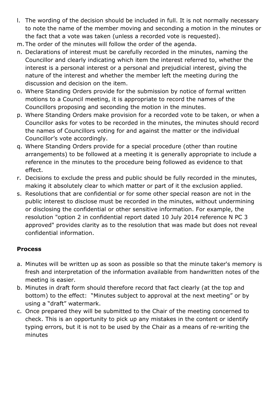- l. The wording of the decision should be included in full. It is not normally necessary to note the name of the member moving and seconding a motion in the minutes or the fact that a vote was taken (unless a recorded vote is requested).
- m. The order of the minutes will follow the order of the agenda.
- n. Declarations of interest must be carefully recorded in the minutes, naming the Councillor and clearly indicating which item the interest referred to, whether the interest is a personal interest or a personal and prejudicial interest, giving the nature of the interest and whether the member left the meeting during the discussion and decision on the item.
- o. Where Standing Orders provide for the submission by notice of formal written motions to a Council meeting, it is appropriate to record the names of the Councillors proposing and seconding the motion in the minutes.
- p. Where Standing Orders make provision for a recorded vote to be taken, or when a Councillor asks for votes to be recorded in the minutes, the minutes should record the names of Councillors voting for and against the matter or the individual Councillor's vote accordingly.
- q. Where Standing Orders provide for a special procedure (other than routine arrangements) to be followed at a meeting it is generally appropriate to include a reference in the minutes to the procedure being followed as evidence to that effect.
- r. Decisions to exclude the press and public should be fully recorded in the minutes, making it absolutely clear to which matter or part of it the exclusion applied.
- s. Resolutions that are confidential or for some other special reason are not in the public interest to disclose must be recorded in the minutes, without undermining or disclosing the confidential or other sensitive information. For example, the resolution "option 2 in confidential report dated 10 July 2014 reference N PC 3 approved" provides clarity as to the resolution that was made but does not reveal confidential information.

### <span id="page-8-0"></span>**Process**

- a. Minutes will be written up as soon as possible so that the minute taker's memory is fresh and interpretation of the information available from handwritten notes of the meeting is easier.
- b. Minutes in draft form should therefore record that fact clearly (at the top and bottom) to the effect: "Minutes subject to approval at the next meeting" or by using a "draft" watermark.
- c. Once prepared they will be submitted to the Chair of the meeting concerned to check. This is an opportunity to pick up any mistakes in the content or identify typing errors, but it is not to be used by the Chair as a means of re-writing the minutes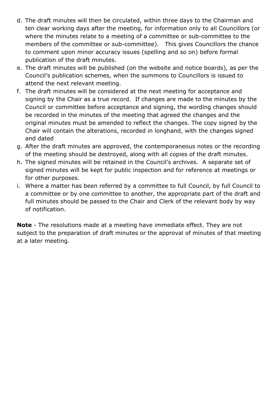- d. The draft minutes will then be circulated, within three days to the Chairman and ten clear working days after the meeting, for information only to all Councillors (or where the minutes relate to a meeting of a committee or sub-committee to the members of the committee or sub-committee). This gives Councillors the chance to comment upon minor accuracy issues (spelling and so on) before formal publication of the draft minutes.
- e. The draft minutes will be published (on the website and notice boards), as per the Council's publication schemes, when the summons to Councillors is issued to attend the next relevant meeting.
- f. The draft minutes will be considered at the next meeting for acceptance and signing by the Chair as a true record. If changes are made to the minutes by the Council or committee before acceptance and signing, the wording changes should be recorded in the minutes of the meeting that agreed the changes and the original minutes must be amended to reflect the changes. The copy signed by the Chair will contain the alterations, recorded in longhand, with the changes signed and dated
- g. After the draft minutes are approved, the contemporaneous notes or the recording of the meeting should be destroyed, along with all copies of the draft minutes.
- h. The signed minutes will be retained in the Council's archives. A separate set of signed minutes will be kept for public inspection and for reference at meetings or for other purposes.
- i. Where a matter has been referred by a committee to full Council, by full Council to a committee or by one committee to another, the appropriate part of the draft and full minutes should be passed to the Chair and Clerk of the relevant body by way of notification.

**Note** - The resolutions made at a meeting have immediate effect. They are not subject to the preparation of draft minutes or the approval of minutes of that meeting at a later meeting.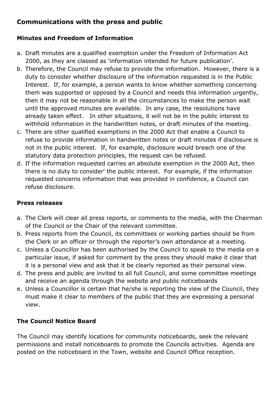### <span id="page-10-0"></span>**Communications with the press and public**

### <span id="page-10-1"></span>**Minutes and Freedom of Information**

- a. Draft minutes are a qualified exemption under the Freedom of Information Act 2000, as they are classed as 'information intended for future publication'.
- b. Therefore, the Council may refuse to provide the information. However, there is a duty to consider whether disclosure of the information requested is in the Public Interest. If, for example, a person wants to know whether something concerning them was supported or opposed by a Council and needs this information urgently, then it may not be reasonable in all the circumstances to make the person wait until the approved minutes are available. In any case, the resolutions have already taken effect. In other situations, it will not be in the public interest to withhold information in the handwritten notes, or draft minutes of the meeting.
- c. There are other qualified exemptions in the 2000 Act that enable a Council to refuse to provide information in handwritten notes or draft minutes if disclosure is not in the public interest. If, for example, disclosure would breach one of the statutory data protection principles, the request can be refused.
- d. If the information requested carries an absolute exemption in the 2000 Act, then there is no duty to consider' the public interest. For example, if the information requested concerns information that was provided in confidence, a Council can refuse disclosure.

### <span id="page-10-2"></span>**Press releases**

- a. The Clerk will clear all press reports, or comments to the media, with the Chairman of the Council or the Chair of the relevant committee.
- b. Press reports from the Council, its committees or working parties should be from the Clerk or an officer or through the reporter's own attendance at a meeting.
- c. Unless a Councillor has been authorised by the Council to speak to the media on a particular issue, if asked for comment by the press they should make it clear that it is a personal view and ask that it be clearly reported as their personal view.
- d. The press and public are invited to all full Council, and some committee meetings and receive an agenda through the website and public noticeboards
- e. Unless a Councillor is certain that he/she is reporting the view of the Council, they must make it clear to members of the public that they are expressing a personal view.

### <span id="page-10-3"></span>**The Council Notice Board**

The Council may identify locations for community noticeboards, seek the relevant permissions and install noticeboards to promote the Councils activities. Agenda are posted on the noticeboard in the Town, website and Council Office reception.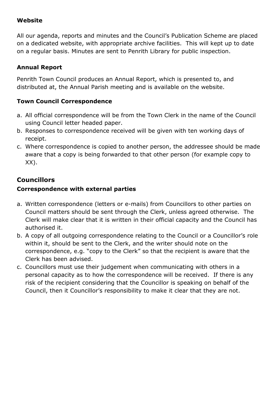### <span id="page-11-0"></span>**Website**

All our agenda, reports and minutes and the Council's Publication Scheme are placed on a dedicated website, with appropriate archive facilities. This will kept up to date on a regular basis. Minutes are sent to Penrith Library for public inspection.

### <span id="page-11-1"></span>**Annual Report**

Penrith Town Council produces an Annual Report, which is presented to, and distributed at, the Annual Parish meeting and is available on the website.

### <span id="page-11-2"></span>**Town Council Correspondence**

- a. All official correspondence will be from the Town Clerk in the name of the Council using Council letter headed paper.
- b. Responses to correspondence received will be given with ten working days of receipt.
- c. Where correspondence is copied to another person, the addressee should be made aware that a copy is being forwarded to that other person (for example copy to XX).

# <span id="page-11-3"></span>**Councillors**

### <span id="page-11-4"></span>**Correspondence with external parties**

- a. Written correspondence (letters or e-mails) from Councillors to other parties on Council matters should be sent through the Clerk, unless agreed otherwise. The Clerk will make clear that it is written in their official capacity and the Council has authorised it.
- b. A copy of all outgoing correspondence relating to the Council or a Councillor's role within it, should be sent to the Clerk, and the writer should note on the correspondence, e.g. "copy to the Clerk" so that the recipient is aware that the Clerk has been advised.
- c. Councillors must use their judgement when communicating with others in a personal capacity as to how the correspondence will be received. If there is any risk of the recipient considering that the Councillor is speaking on behalf of the Council, then it Councillor's responsibility to make it clear that they are not.